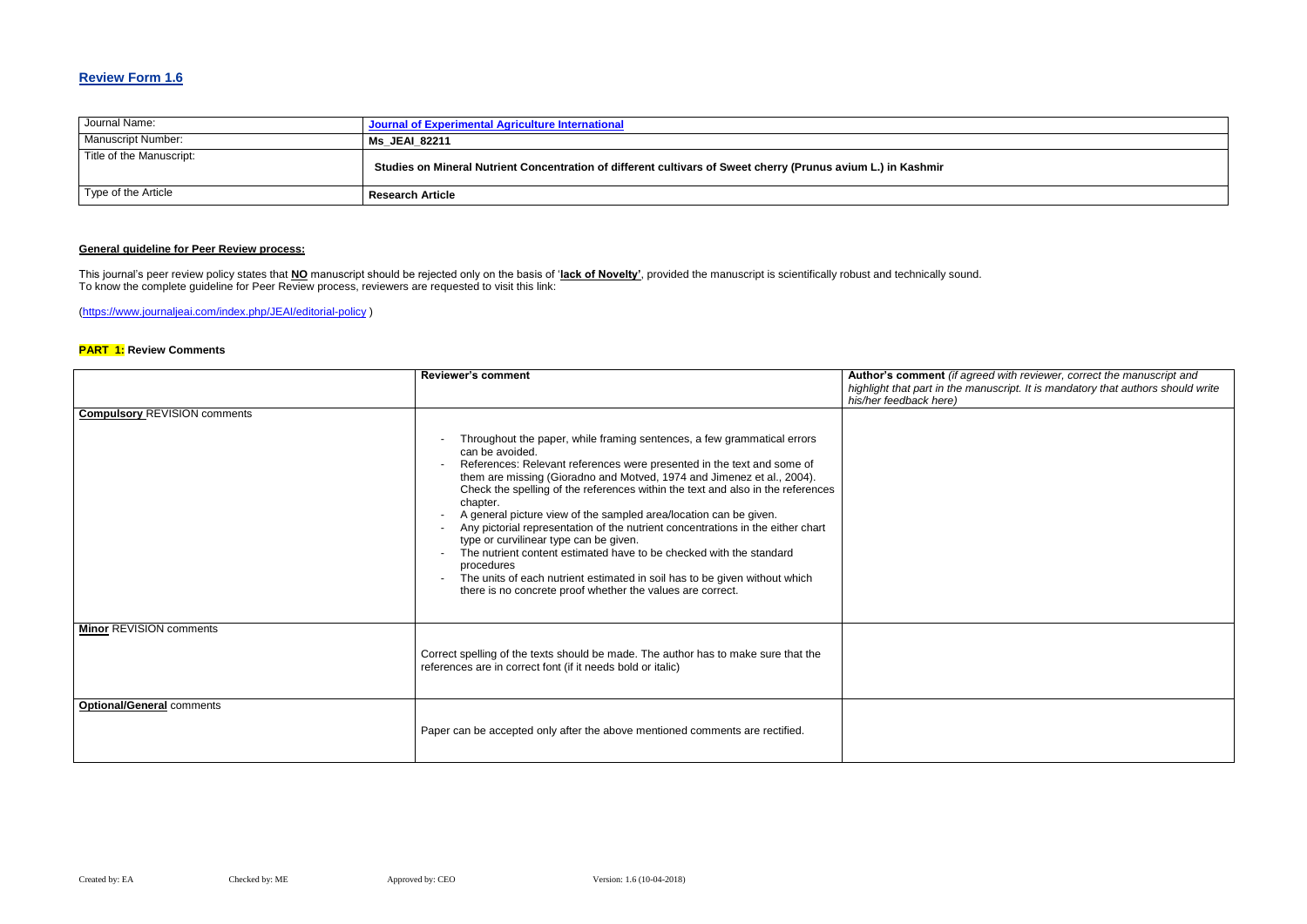## **Review Form 1.6**

| Journal Name:            | Journal of Experimental Agriculture International                                                             |
|--------------------------|---------------------------------------------------------------------------------------------------------------|
| Manuscript Number:       | Ms JEAI 82211                                                                                                 |
| Title of the Manuscript: | Studies on Mineral Nutrient Concentration of different cultivars of Sweet cherry (Prunus avium L.) in Kashmir |
| Type of the Article      | <b>Research Article</b>                                                                                       |

### **General guideline for Peer Review process:**

#### **Red with reviewer, correct the manuscript and** *highlight that part in the manuscript. It is mandatory that authors should write*

This journal's peer review policy states that **NO** manuscript should be rejected only on the basis of '**lack of Novelty'**, provided the manuscript is scientifically robust and technically sound. To know the complete guideline for Peer Review process, reviewers are requested to visit this link:

[\(https://www.journaljeai.com/index.php/JEAI/editorial-policy](https://www.journaljeai.com/index.php/JEAI/editorial-policy) )

#### **PART 1: Review Comments**

|                                     | <b>Reviewer's comment</b>                                                                                                                                                                                                                                                                                                                                                                                                                                                                                                                                                                                                                                                                                                                                                        | Author's comment (if agree<br>highlight that part in the mar<br>his/her feedback here) |
|-------------------------------------|----------------------------------------------------------------------------------------------------------------------------------------------------------------------------------------------------------------------------------------------------------------------------------------------------------------------------------------------------------------------------------------------------------------------------------------------------------------------------------------------------------------------------------------------------------------------------------------------------------------------------------------------------------------------------------------------------------------------------------------------------------------------------------|----------------------------------------------------------------------------------------|
| <b>Compulsory REVISION comments</b> | Throughout the paper, while framing sentences, a few grammatical errors<br>can be avoided.<br>References: Relevant references were presented in the text and some of<br>them are missing (Gioradno and Motved, 1974 and Jimenez et al., 2004).<br>Check the spelling of the references within the text and also in the references<br>chapter.<br>A general picture view of the sampled area/location can be given.<br>Any pictorial representation of the nutrient concentrations in the either chart<br>type or curvilinear type can be given.<br>The nutrient content estimated have to be checked with the standard<br>procedures<br>The units of each nutrient estimated in soil has to be given without which<br>there is no concrete proof whether the values are correct. |                                                                                        |
| <b>Minor REVISION comments</b>      | Correct spelling of the texts should be made. The author has to make sure that the<br>references are in correct font (if it needs bold or italic)                                                                                                                                                                                                                                                                                                                                                                                                                                                                                                                                                                                                                                |                                                                                        |
| <b>Optional/General comments</b>    | Paper can be accepted only after the above mentioned comments are rectified.                                                                                                                                                                                                                                                                                                                                                                                                                                                                                                                                                                                                                                                                                                     |                                                                                        |